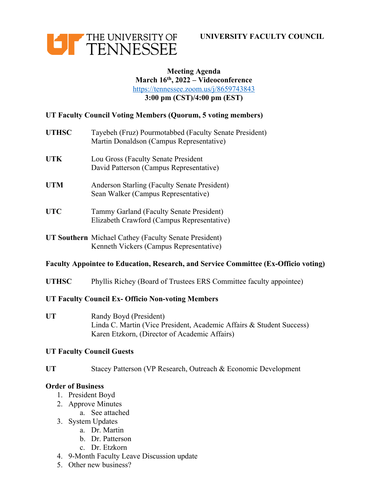



### **Meeting Agenda March 16th, 2022 – Videoconference** https://tennessee.zoom.us/j/8659743843 **3:00 pm (CST)/4:00 pm (EST)**

## **UT Faculty Council Voting Members (Quorum, 5 voting members)**

- **UTHSC** Tayebeh (Fruz) Pourmotabbed (Faculty Senate President) Martin Donaldson (Campus Representative)
- **UTK** Lou Gross (Faculty Senate President David Patterson (Campus Representative)
- **UTM** Anderson Starling (Faculty Senate President) Sean Walker (Campus Representative)
- **UTC** Tammy Garland (Faculty Senate President) Elizabeth Crawford (Campus Representative)
- **UT Southern** Michael Cathey (Faculty Senate President) Kenneth Vickers (Campus Representative)

### **Faculty Appointee to Education, Research, and Service Committee (Ex-Officio voting)**

**UTHSC** Phyllis Richey (Board of Trustees ERS Committee faculty appointee)

### **UT Faculty Council Ex- Officio Non-voting Members**

UT Randy Boyd (President) Linda C. Martin (Vice President, Academic Affairs & Student Success) Karen Etzkorn, (Director of Academic Affairs)

### **UT Faculty Council Guests**

**UT** Stacey Patterson (VP Research, Outreach & Economic Development

### **Order of Business**

- 1. President Boyd
- 2. Approve Minutes
	- a. See attached
- 3. System Updates
	- a. Dr. Martin
	- b. Dr. Patterson
	- c. Dr. Etzkorn
- 4. 9-Month Faculty Leave Discussion update
- 5. Other new business?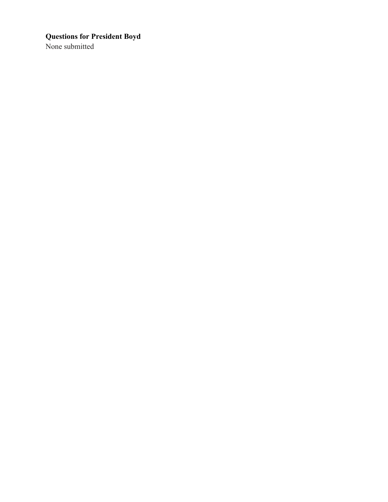# **Questions for President Boyd**

None submitted